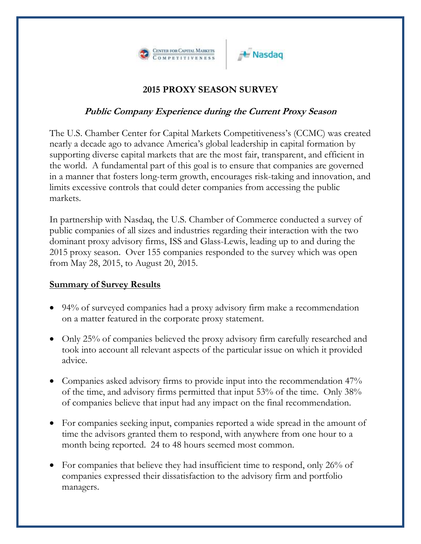

## **A** Nasdag

## **2015 PROXY SEASON SURVEY**

## **Public Company Experience during the Current Proxy Season**

The U.S. Chamber Center for Capital Markets Competitiveness's (CCMC) was created nearly a decade ago to advance America's global leadership in capital formation by supporting diverse capital markets that are the most fair, transparent, and efficient in the world. A fundamental part of this goal is to ensure that companies are governed in a manner that fosters long-term growth, encourages risk-taking and innovation, and limits excessive controls that could deter companies from accessing the public markets.

In partnership with Nasdaq, the U.S. Chamber of Commerce conducted a survey of public companies of all sizes and industries regarding their interaction with the two dominant proxy advisory firms, ISS and Glass-Lewis, leading up to and during the 2015 proxy season. Over 155 companies responded to the survey which was open from May 28, 2015, to August 20, 2015.

## **Summary of Survey Results**

- 94% of surveyed companies had a proxy advisory firm make a recommendation on a matter featured in the corporate proxy statement.
- Only 25% of companies believed the proxy advisory firm carefully researched and took into account all relevant aspects of the particular issue on which it provided advice.
- Companies asked advisory firms to provide input into the recommendation 47% of the time, and advisory firms permitted that input 53% of the time. Only 38% of companies believe that input had any impact on the final recommendation.
- For companies seeking input, companies reported a wide spread in the amount of time the advisors granted them to respond, with anywhere from one hour to a month being reported. 24 to 48 hours seemed most common.
- For companies that believe they had insufficient time to respond, only 26% of companies expressed their dissatisfaction to the advisory firm and portfolio managers.